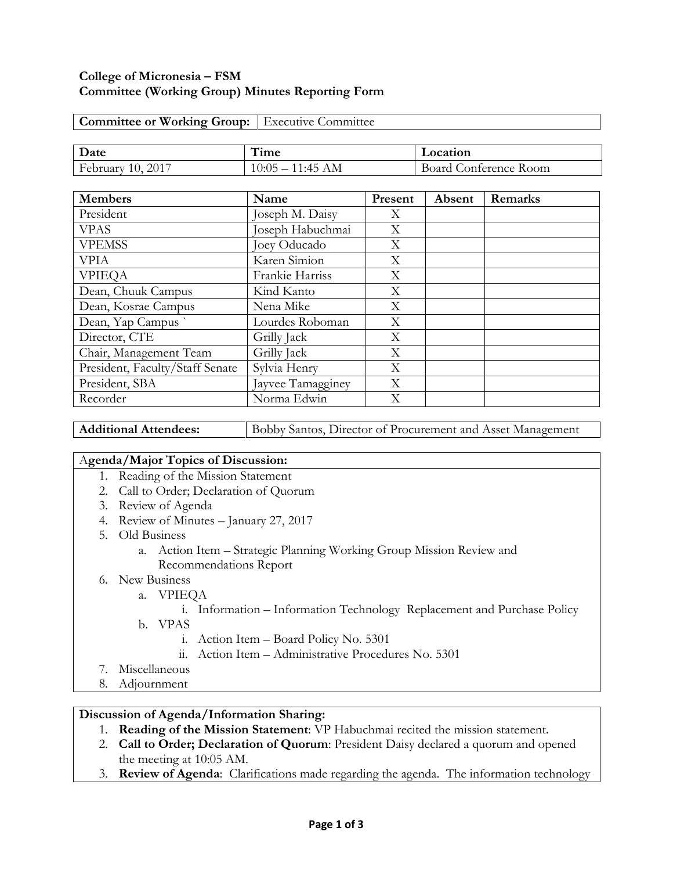### **College of Micronesia – FSM Committee (Working Group) Minutes Reporting Form**

| <b>Committee or Working Group:</b>   Executive Committee |                    |                       |  |  |  |
|----------------------------------------------------------|--------------------|-----------------------|--|--|--|
|                                                          |                    |                       |  |  |  |
| Date                                                     | Time               | Location              |  |  |  |
| <b>February 10, 2017</b>                                 | $10:05 - 11:45$ AM | Board Conference Room |  |  |  |

| <b>Members</b>                  | Name              | Present | Absent | Remarks |
|---------------------------------|-------------------|---------|--------|---------|
| President                       | Joseph M. Daisy   | X       |        |         |
| <b>VPAS</b>                     | Joseph Habuchmai  | Χ       |        |         |
| <b>VPEMSS</b>                   | Joey Oducado      | X       |        |         |
| <b>VPIA</b>                     | Karen Simion      | Χ       |        |         |
| <b>VPIEOA</b>                   | Frankie Harriss   | X       |        |         |
| Dean, Chuuk Campus              | Kind Kanto        | Χ       |        |         |
| Dean, Kosrae Campus             | Nena Mike         | X       |        |         |
| Dean, Yap Campus                | Lourdes Roboman   | X       |        |         |
| Director, CTE                   | Grilly Jack       | Χ       |        |         |
| Chair, Management Team          | Grilly Jack       | X       |        |         |
| President, Faculty/Staff Senate | Sylvia Henry      | X       |        |         |
| President, SBA                  | Jayvee Tamagginey | X       |        |         |
| Recorder                        | Norma Edwin       | $\rm X$ |        |         |

Additional Attendees: **Bobby Santos, Director of Procurement and Asset Management** 

### A**genda/Major Topics of Discussion:**

- 1. Reading of the Mission Statement
- 2. Call to Order; Declaration of Quorum
- 3. Review of Agenda
- 4. Review of Minutes January 27, 2017
- 5. Old Business
	- a. Action Item Strategic Planning Working Group Mission Review and Recommendations Report
- 6. New Business
	- a. VPIEQA

### i. Information – Information Technology Replacement and Purchase Policy

- b. VPAS
	- i. Action Item Board Policy No. 5301
	- ii. Action Item Administrative Procedures No. 5301
- 7. Miscellaneous
- 8. Adjournment

### **Discussion of Agenda/Information Sharing:**

- 1. **Reading of the Mission Statement**: VP Habuchmai recited the mission statement.
- 2. **Call to Order; Declaration of Quorum**: President Daisy declared a quorum and opened the meeting at 10:05 AM.
- 3. **Review of Agenda**: Clarifications made regarding the agenda. The information technology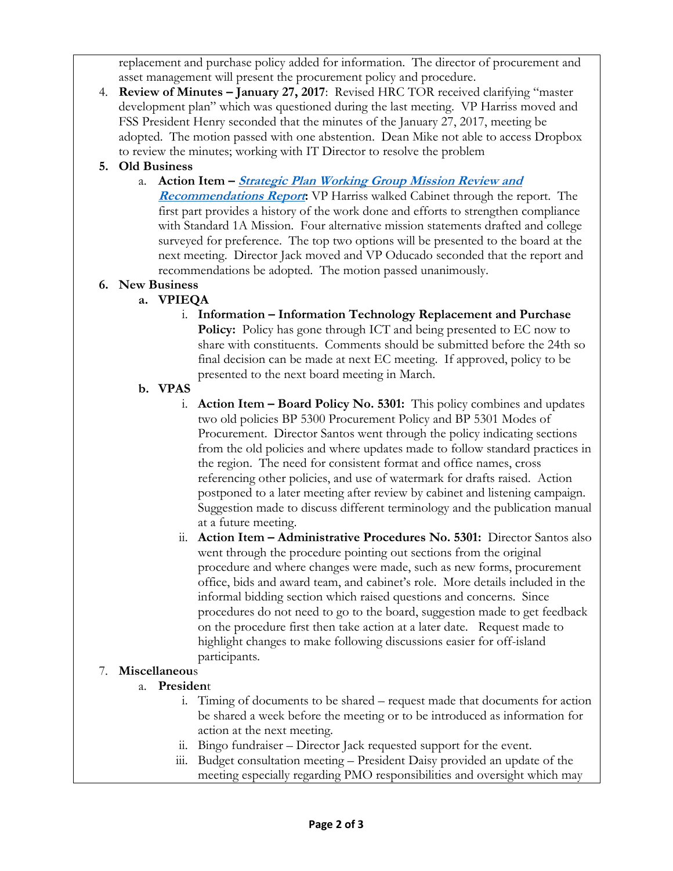replacement and purchase policy added for information. The director of procurement and asset management will present the procurement policy and procedure.

4. **Review of Minutes – January 27, 2017**: Revised HRC TOR received clarifying "master development plan" which was questioned during the last meeting. VP Harriss moved and FSS President Henry seconded that the minutes of the January 27, 2017, meeting be adopted. The motion passed with one abstention. Dean Mike not able to access Dropbox to review the minutes; working with IT Director to resolve the problem

# **5. Old Business**

a. **Action Item – [Strategic Plan Working Group Mission Review and](http://www.comfsm.fm/dcr/misc/SPWG_MIssion_Report_07FEB2017-1.pdf)  [Recommendations Report](http://www.comfsm.fm/dcr/misc/SPWG_MIssion_Report_07FEB2017-1.pdf):** VP Harriss walked Cabinet through the report. The first part provides a history of the work done and efforts to strengthen compliance with Standard 1A Mission. Four alternative mission statements drafted and college surveyed for preference. The top two options will be presented to the board at the next meeting. Director Jack moved and VP Oducado seconded that the report and recommendations be adopted. The motion passed unanimously.

### **6. New Business**

## **a. VPIEQA**

i. **Information – Information Technology Replacement and Purchase Policy:** Policy has gone through ICT and being presented to EC now to share with constituents. Comments should be submitted before the 24th so final decision can be made at next EC meeting. If approved, policy to be presented to the next board meeting in March.

### **b. VPAS**

- i. **Action Item Board Policy No. 5301:** This policy combines and updates two old policies BP 5300 Procurement Policy and BP 5301 Modes of Procurement. Director Santos went through the policy indicating sections from the old policies and where updates made to follow standard practices in the region. The need for consistent format and office names, cross referencing other policies, and use of watermark for drafts raised. Action postponed to a later meeting after review by cabinet and listening campaign. Suggestion made to discuss different terminology and the publication manual at a future meeting.
- ii. **Action Item – Administrative Procedures No. 5301:** Director Santos also went through the procedure pointing out sections from the original procedure and where changes were made, such as new forms, procurement office, bids and award team, and cabinet's role. More details included in the informal bidding section which raised questions and concerns. Since procedures do not need to go to the board, suggestion made to get feedback on the procedure first then take action at a later date. Request made to highlight changes to make following discussions easier for off-island participants.

## 7. **Miscellaneou**s

## a. **Presiden**t

- i. Timing of documents to be shared request made that documents for action be shared a week before the meeting or to be introduced as information for action at the next meeting.
- ii. Bingo fundraiser Director Jack requested support for the event.
- iii. Budget consultation meeting President Daisy provided an update of the meeting especially regarding PMO responsibilities and oversight which may